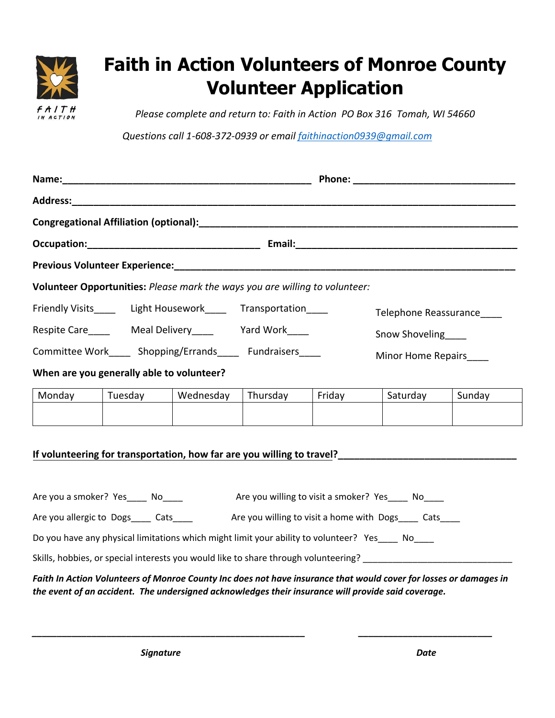

## **Faith in Action Volunteers of Monroe County Volunteer Application**

*Please complete and return to: Faith in Action PO Box 316 Tomah, WI 54660*

*Questions call 1-608-372-0939 or email [faithinaction0939@gmail.com](mailto:faithinaction0939@gmail.com)*

| Occupation: Contract Contract Contract Contract Contract Contract Contract Contract Contract Contract Contract Contract Contract Contract Contract Contract Contract Contract Contract Contract Contract Contract Contract Con |                                                                                           |           |          |                    |                                                                                                                 |        |  |
|--------------------------------------------------------------------------------------------------------------------------------------------------------------------------------------------------------------------------------|-------------------------------------------------------------------------------------------|-----------|----------|--------------------|-----------------------------------------------------------------------------------------------------------------|--------|--|
| Previous Volunteer Experience: Manual According to the Contract of the Contract of the Contract of the Contract of the Contract of the Contract of the Contract of the Contract of the Contract of the Contract of the Contrac |                                                                                           |           |          |                    |                                                                                                                 |        |  |
| Volunteer Opportunities: Please mark the ways you are willing to volunteer:                                                                                                                                                    |                                                                                           |           |          |                    |                                                                                                                 |        |  |
|                                                                                                                                                                                                                                | Friendly Visits_______ Light Housework______ Transportation_____<br>Telephone Reassurance |           |          |                    |                                                                                                                 |        |  |
|                                                                                                                                                                                                                                | Respite Care__________ Meal Delivery____________ Yard Work_____<br>Snow Shoveling         |           |          |                    |                                                                                                                 |        |  |
| Committee Work_____ Shopping/Errands_____ Fundraisers_____                                                                                                                                                                     |                                                                                           |           |          | Minor Home Repairs |                                                                                                                 |        |  |
| When are you generally able to volunteer?                                                                                                                                                                                      |                                                                                           |           |          |                    |                                                                                                                 |        |  |
|                                                                                                                                                                                                                                | Monday   Tuesday                                                                          | Wednesday | Thursday | Friday             | Saturday                                                                                                        | Sunday |  |
|                                                                                                                                                                                                                                |                                                                                           |           |          |                    |                                                                                                                 |        |  |
|                                                                                                                                                                                                                                |                                                                                           |           |          |                    |                                                                                                                 |        |  |
| Are you a smoker? Yes_____ No_____<br>Are you willing to visit a smoker? Yes______ No_____                                                                                                                                     |                                                                                           |           |          |                    |                                                                                                                 |        |  |
| Are you allergic to Dogs_____ Cats_____ Are you willing to visit a home with Dogs____ Cats____                                                                                                                                 |                                                                                           |           |          |                    |                                                                                                                 |        |  |
| Do you have any physical limitations which might limit your ability to volunteer? Yes____ No____                                                                                                                               |                                                                                           |           |          |                    |                                                                                                                 |        |  |
|                                                                                                                                                                                                                                |                                                                                           |           |          |                    | Skills, hobbies, or special interests you would like to share through volunteering? ___________________________ |        |  |
| Faith In Action Volunteers of Monroe County Inc does not have insurance that would cover for losses or damages in<br>the event of an accident. The undersigned acknowledges their insurance will provide said coverage.        |                                                                                           |           |          |                    |                                                                                                                 |        |  |

*\_\_\_\_\_\_\_\_\_\_\_\_\_\_\_\_\_\_\_\_\_\_\_\_\_\_\_\_\_\_\_\_\_\_\_\_\_\_\_\_\_\_\_\_\_\_\_\_\_\_\_\_\_\_\_ \_\_\_\_\_\_\_\_\_\_\_\_\_\_\_\_\_\_\_\_\_\_\_\_\_\_\_*